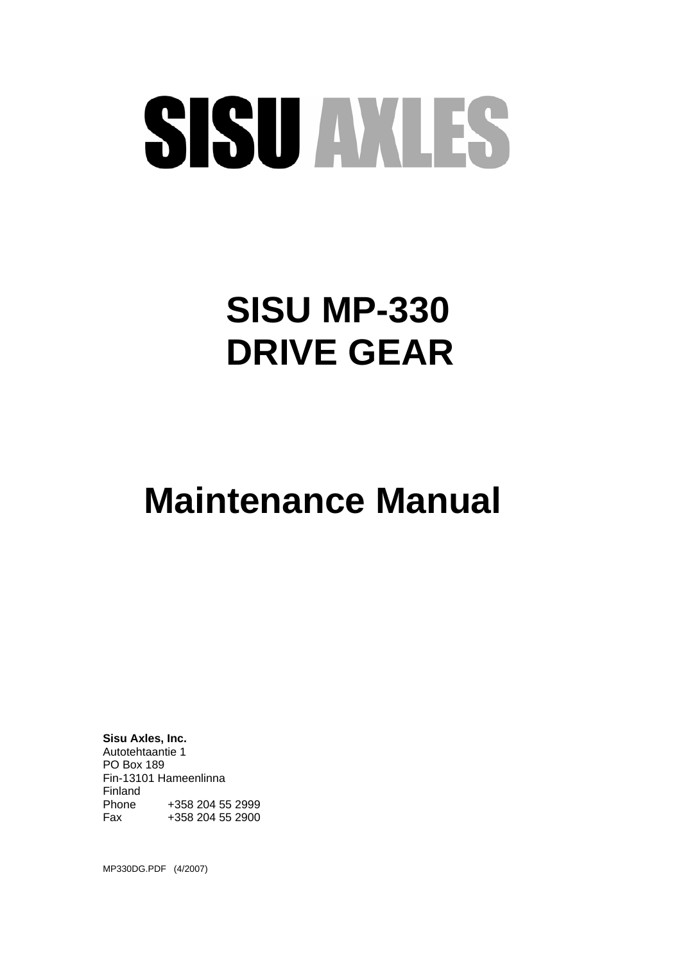# SISU AVLES

# **SISU MP-330 DRIVE GEAR**

# **Maintenance Manual**

**Sisu Axles, Inc.**  Autotehtaantie 1 PO Box 189 Fin-13101 Hameenlinna Finland Phone +358 204 55 2999<br>Fax +358 204 55 2900 +358 204 55 2900

MP330DG.PDF (4/2007)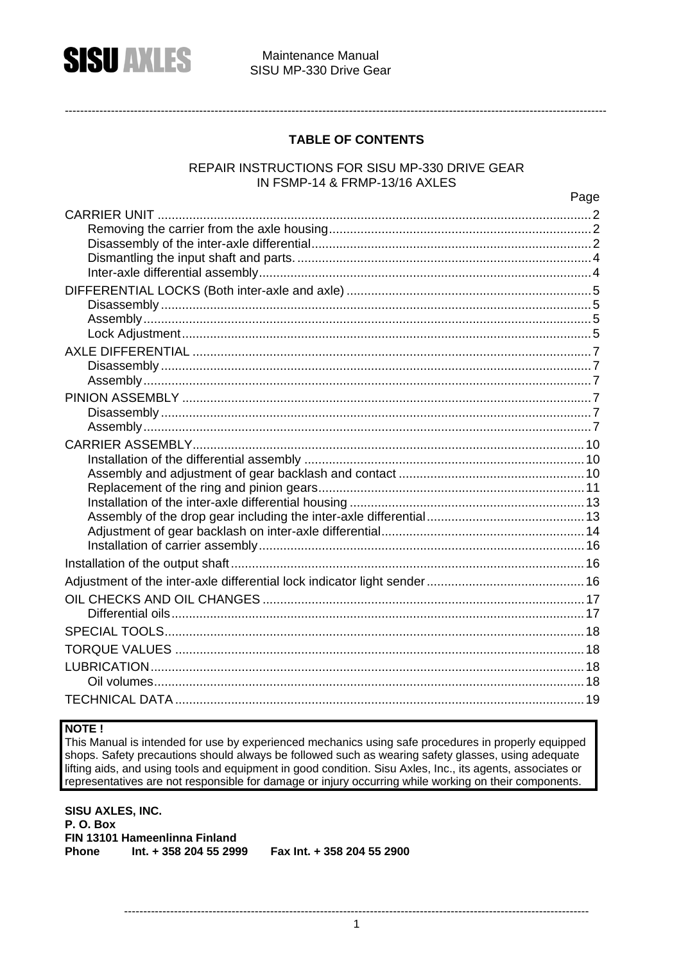

#### Maintenance Manual SISU MP-330 Drive Gear

#### **TABLE OF CONTENTS**

#### REPAIR INSTRUCTIONS FOR SISU MP-330 DRIVE GEAR IN FSMP-14 & FRMP-13/16 AXLES

Page

#### NOTE!

This Manual is intended for use by experienced mechanics using safe procedures in properly equipped shops. Safety precautions should always be followed such as wearing safety glasses, using adequate lifting aids, and using tools and equipment in good condition. Sisu Axles, Inc., its agents, associates or representatives are not responsible for damage or injury occurring while working on their components.

SISU AXLES, INC. P.O. Box FIN 13101 Hameenlinna Finland  $Int. + 358204552999$  Fax Int. + 358 204 55 2900 Phone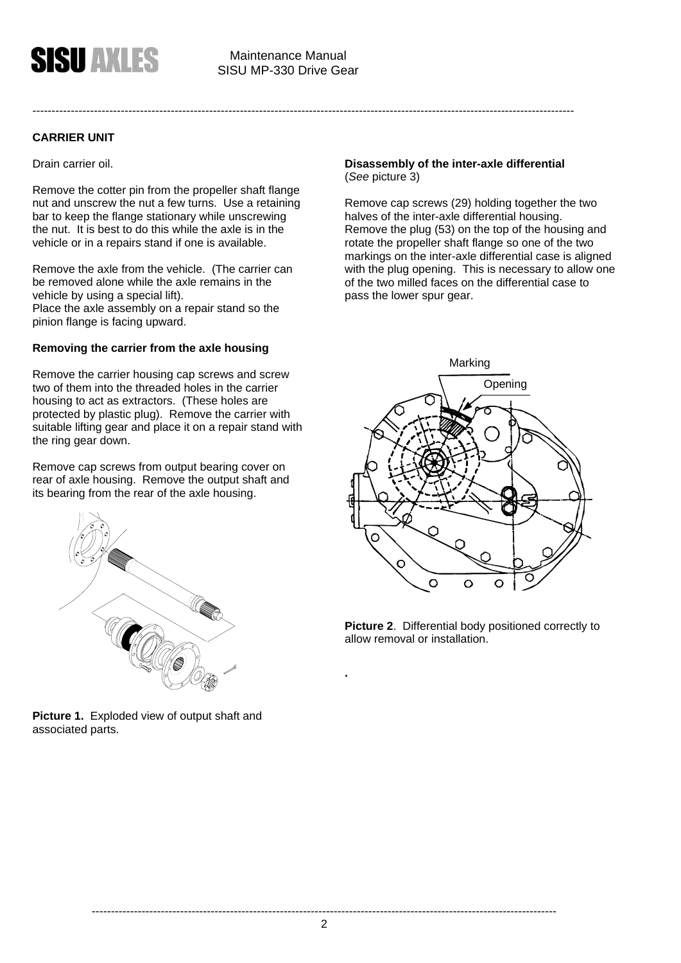

#### **CARRIER UNIT**

Drain carrier oil.

Remove the cotter pin from the propeller shaft flange nut and unscrew the nut a few turns. Use a retaining bar to keep the flange stationary while unscrewing the nut. It is best to do this while the axle is in the vehicle or in a repairs stand if one is available.

Remove the axle from the vehicle. (The carrier can be removed alone while the axle remains in the vehicle by using a special lift). Place the axle assembly on a repair stand so the pinion flange is facing upward.

#### **Removing the carrier from the axle housing**

Remove the carrier housing cap screws and screw two of them into the threaded holes in the carrier housing to act as extractors. (These holes are protected by plastic plug). Remove the carrier with suitable lifting gear and place it on a repair stand with the ring gear down.

Remove cap screws from output bearing cover on rear of axle housing. Remove the output shaft and its bearing from the rear of the axle housing.



**Picture 1.** Exploded view of output shaft and associated parts.

#### **Disassembly of the inter-axle differential**  (*See* picture 3)

---------------------------------------------------------------------------------------------------------------------------------------------

Remove cap screws (29) holding together the two halves of the inter-axle differential housing. Remove the plug (53) on the top of the housing and rotate the propeller shaft flange so one of the two markings on the inter-axle differential case is aligned with the plug opening. This is necessary to allow one of the two milled faces on the differential case to pass the lower spur gear.



**Picture 2**. Differential body positioned correctly to allow removal or installation.

**.**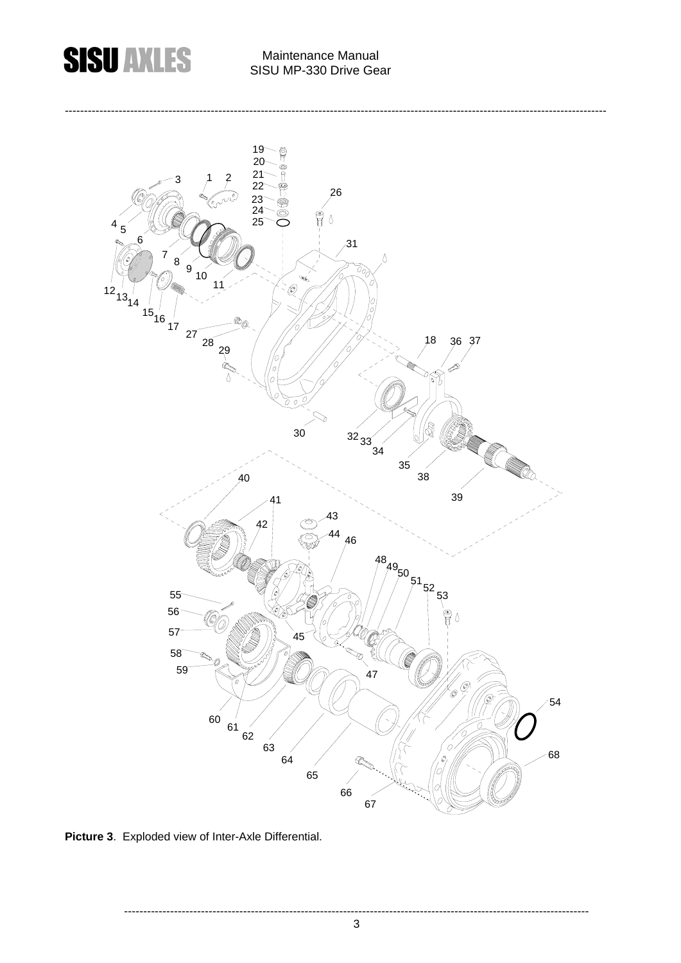

# **CICI INTERNATIONAL Maintenance Manual**

---------------------------------------------------------------------------------------------------------------------------------------------



**Picture 3**. Exploded view of Inter-Axle Differential.

-------------------------------------------------------------------------------------------------------------------------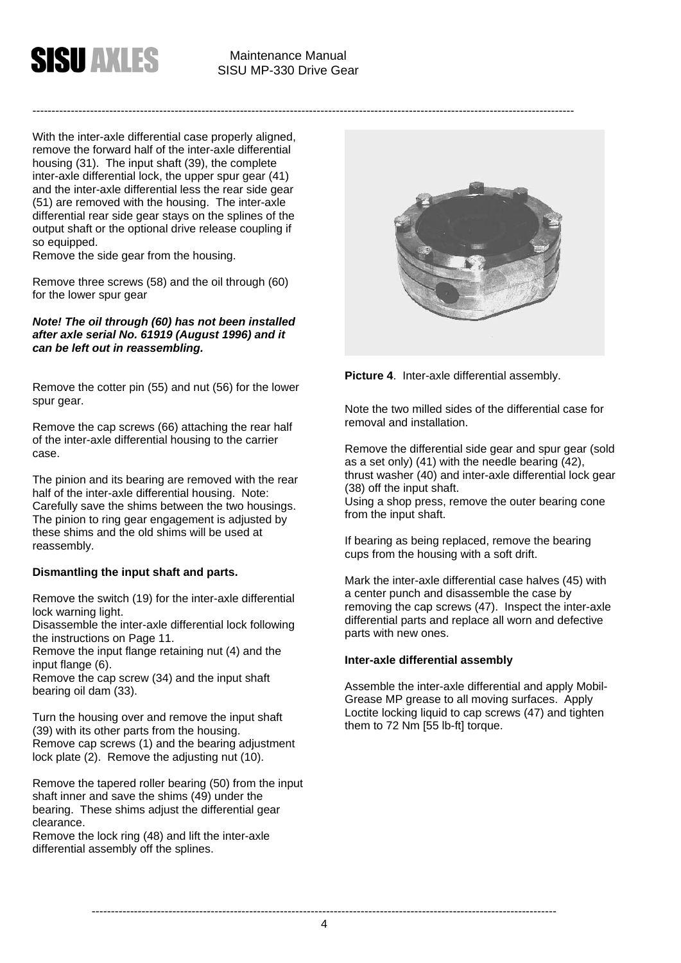

With the inter-axle differential case properly aligned, remove the forward half of the inter-axle differential housing (31). The input shaft (39), the complete inter-axle differential lock, the upper spur gear (41) and the inter-axle differential less the rear side gear (51) are removed with the housing. The inter-axle differential rear side gear stays on the splines of the output shaft or the optional drive release coupling if so equipped.

Remove the side gear from the housing.

Remove three screws (58) and the oil through (60) for the lower spur gear

*Note! The oil through (60) has not been installed after axle serial No. 61919 (August 1996) and it can be left out in reassembling.* 

Remove the cotter pin (55) and nut (56) for the lower spur gear.

Remove the cap screws (66) attaching the rear half of the inter-axle differential housing to the carrier case.

The pinion and its bearing are removed with the rear half of the inter-axle differential housing. Note: Carefully save the shims between the two housings. The pinion to ring gear engagement is adjusted by these shims and the old shims will be used at reassembly.

#### **Dismantling the input shaft and parts.**

Remove the switch (19) for the inter-axle differential lock warning light.

Disassemble the inter-axle differential lock following the instructions on Page 11.

Remove the input flange retaining nut (4) and the input flange (6).

Remove the cap screw (34) and the input shaft bearing oil dam (33).

Turn the housing over and remove the input shaft (39) with its other parts from the housing. Remove cap screws (1) and the bearing adjustment lock plate (2). Remove the adjusting nut (10).

Remove the tapered roller bearing (50) from the input shaft inner and save the shims (49) under the bearing. These shims adjust the differential gear clearance.

Remove the lock ring (48) and lift the inter-axle differential assembly off the splines.



**Picture 4**. Inter-axle differential assembly.

Note the two milled sides of the differential case for removal and installation.

Remove the differential side gear and spur gear (sold as a set only) (41) with the needle bearing (42), thrust washer (40) and inter-axle differential lock gear (38) off the input shaft. Using a shop press, remove the outer bearing cone from the input shaft.

If bearing as being replaced, remove the bearing cups from the housing with a soft drift.

Mark the inter-axle differential case halves (45) with a center punch and disassemble the case by removing the cap screws (47). Inspect the inter-axle differential parts and replace all worn and defective parts with new ones.

#### **Inter-axle differential assembly**

Assemble the inter-axle differential and apply Mobil-Grease MP grease to all moving surfaces. Apply Loctite locking liquid to cap screws (47) and tighten them to 72 Nm [55 lb-ft] torque.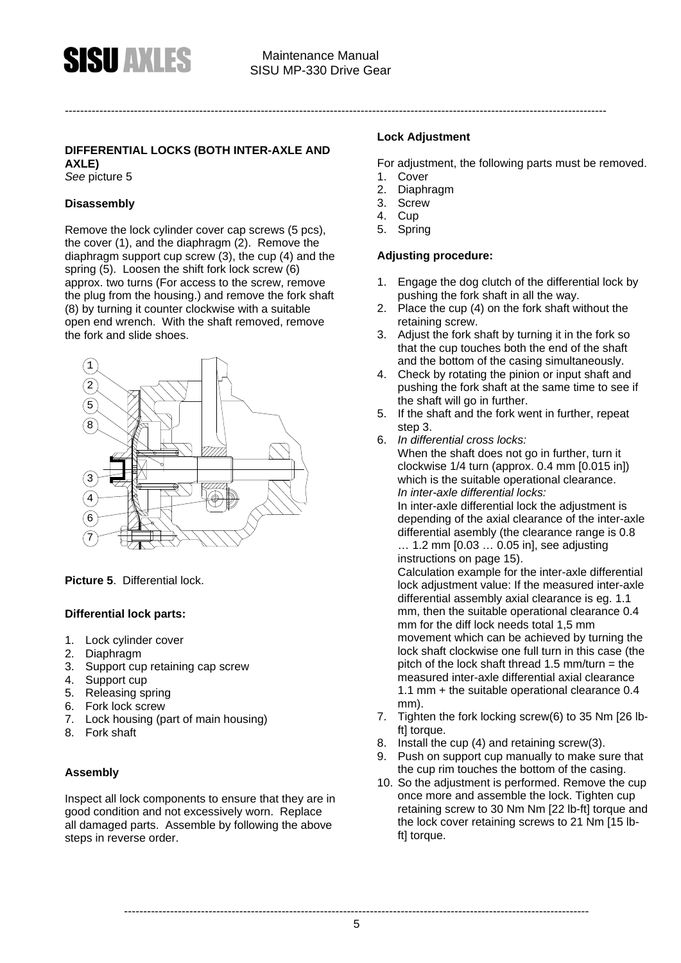#### **DIFFERENTIAL LOCKS (BOTH INTER-AXLE AND**

**AXLE)** 

*See* picture 5

#### **Disassembly**

Remove the lock cylinder cover cap screws (5 pcs), the cover (1), and the diaphragm (2). Remove the diaphragm support cup screw (3), the cup (4) and the spring (5). Loosen the shift fork lock screw (6) approx. two turns (For access to the screw, remove the plug from the housing.) and remove the fork shaft (8) by turning it counter clockwise with a suitable open end wrench. With the shaft removed, remove the fork and slide shoes.



**Picture 5**. Differential lock.

#### **Differential lock parts:**

- 1. Lock cylinder cover
- 2. Diaphragm
- 3. Support cup retaining cap screw
- 4. Support cup
- 5. Releasing spring
- 6. Fork lock screw
- 7. Lock housing (part of main housing)
- 8. Fork shaft

#### **Assembly**

Inspect all lock components to ensure that they are in good condition and not excessively worn. Replace all damaged parts. Assemble by following the above steps in reverse order.

#### **Lock Adjustment**

For adjustment, the following parts must be removed.

- 1. Cover
- 2. Diaphragm
- 3. Screw
- 4. Cup
- 5. Spring

#### **Adjusting procedure:**

- 1. Engage the dog clutch of the differential lock by pushing the fork shaft in all the way.
- 2. Place the cup (4) on the fork shaft without the retaining screw.
- 3. Adjust the fork shaft by turning it in the fork so that the cup touches both the end of the shaft and the bottom of the casing simultaneously.
- 4. Check by rotating the pinion or input shaft and pushing the fork shaft at the same time to see if the shaft will go in further.
- 5. If the shaft and the fork went in further, repeat step 3.
- 6. *In differential cross locks:* When the shaft does not go in further, turn it clockwise 1/4 turn (approx. 0.4 mm [0.015 in])

which is the suitable operational clearance. *In inter-axle differential locks:*

In inter-axle differential lock the adjustment is depending of the axial clearance of the inter-axle differential asembly (the clearance range is 0.8 … 1.2 mm [0.03 … 0.05 in], see adjusting instructions on page 15).

Calculation example for the inter-axle differential lock adjustment value: If the measured inter-axle differential assembly axial clearance is eg. 1.1 mm, then the suitable operational clearance 0.4 mm for the diff lock needs total 1,5 mm movement which can be achieved by turning the lock shaft clockwise one full turn in this case (the pitch of the lock shaft thread 1.5 mm/turn = the measured inter-axle differential axial clearance 1.1 mm + the suitable operational clearance 0.4 mm).

- 7. Tighten the fork locking screw(6) to 35 Nm [26 lbft] torque.
- 8. Install the cup (4) and retaining screw(3).
- 9. Push on support cup manually to make sure that the cup rim touches the bottom of the casing.
- 10. So the adjustment is performed. Remove the cup once more and assemble the lock. Tighten cup retaining screw to 30 Nm Nm [22 lb-ft] torque and the lock cover retaining screws to 21 Nm [15 lbft] torque.

-------------------------------------------------------------------------------------------------------------------------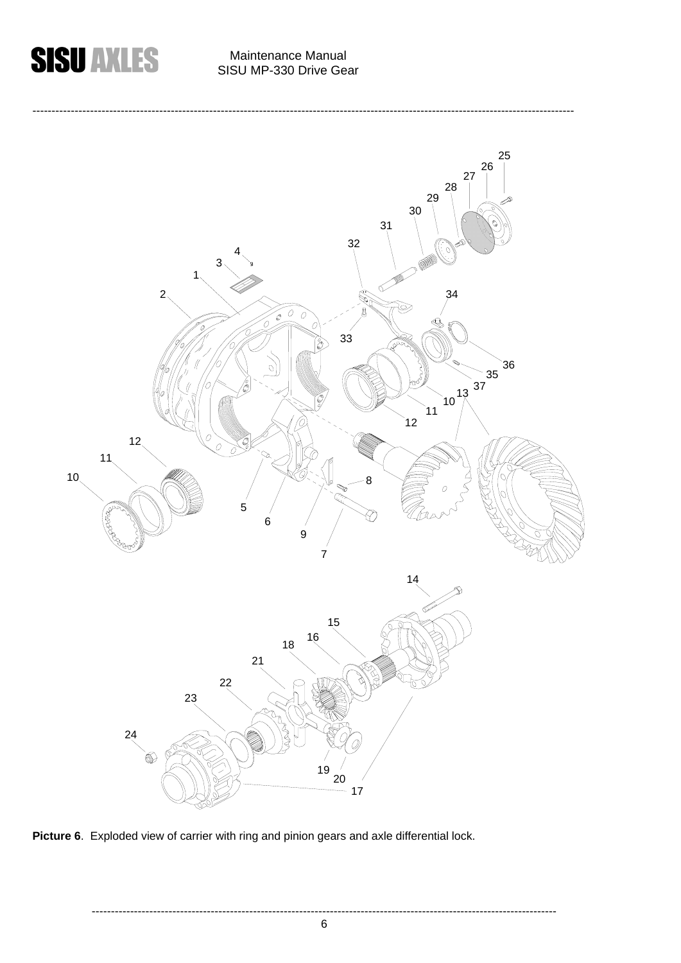



Picture 6. Exploded view of carrier with ring and pinion gears and axle differential lock.

-------------------------------------------------------------------------------------------------------------------------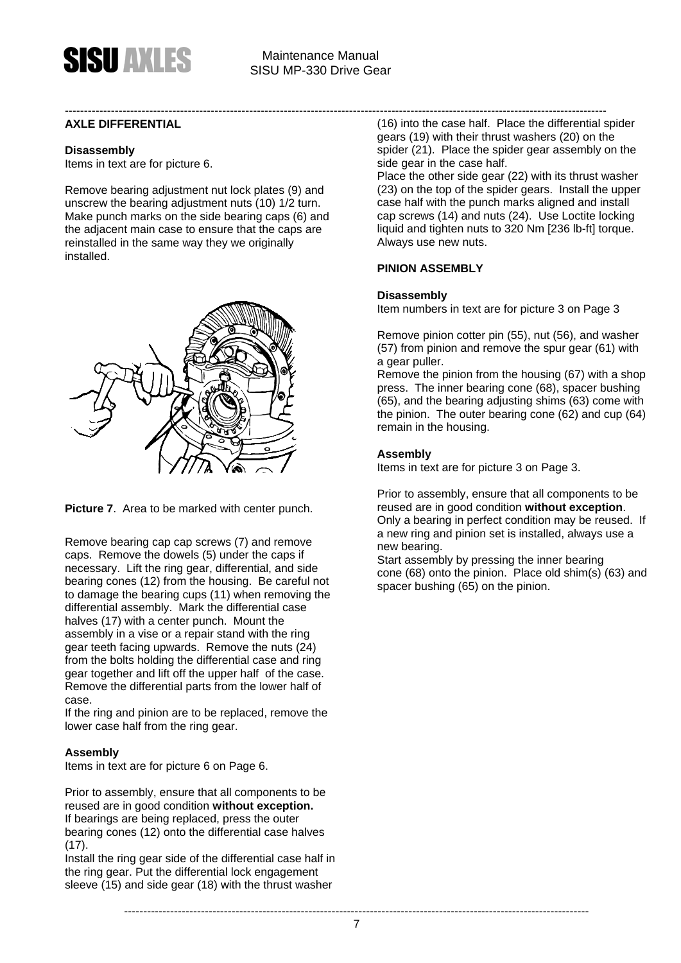#### **AXLE DIFFERENTIAL**

#### **Disassembly**

Items in text are for picture 6.

Remove bearing adjustment nut lock plates (9) and unscrew the bearing adjustment nuts (10) 1/2 turn. Make punch marks on the side bearing caps (6) and the adjacent main case to ensure that the caps are reinstalled in the same way they we originally installed.



**Picture 7**. Area to be marked with center punch.

Remove bearing cap cap screws (7) and remove caps. Remove the dowels (5) under the caps if necessary. Lift the ring gear, differential, and side bearing cones (12) from the housing. Be careful not to damage the bearing cups (11) when removing the differential assembly. Mark the differential case halves (17) with a center punch. Mount the assembly in a vise or a repair stand with the ring gear teeth facing upwards. Remove the nuts (24) from the bolts holding the differential case and ring gear together and lift off the upper half of the case. Remove the differential parts from the lower half of case.

If the ring and pinion are to be replaced, remove the lower case half from the ring gear.

#### **Assembly**

Items in text are for picture 6 on Page 6.

Prior to assembly, ensure that all components to be reused are in good condition **without exception.** If bearings are being replaced, press the outer bearing cones (12) onto the differential case halves  $(17)$ .

Install the ring gear side of the differential case half in the ring gear. Put the differential lock engagement sleeve (15) and side gear (18) with the thrust washer

--------------------------------------------------------------------------------------------------------------------------------------------- (16) into the case half. Place the differential spider gears (19) with their thrust washers (20) on the spider (21). Place the spider gear assembly on the side gear in the case half.

> Place the other side gear (22) with its thrust washer (23) on the top of the spider gears. Install the upper case half with the punch marks aligned and install cap screws (14) and nuts (24). Use Loctite locking liquid and tighten nuts to 320 Nm [236 lb-ft] torque. Always use new nuts.

#### **PINION ASSEMBLY**

#### **Disassembly**

Item numbers in text are for picture 3 on Page 3

Remove pinion cotter pin (55), nut (56), and washer (57) from pinion and remove the spur gear (61) with a gear puller.

Remove the pinion from the housing (67) with a shop press. The inner bearing cone (68), spacer bushing (65), and the bearing adjusting shims (63) come with the pinion. The outer bearing cone (62) and cup (64) remain in the housing.

#### **Assembly**

Items in text are for picture 3 on Page 3.

Prior to assembly, ensure that all components to be reused are in good condition **without exception**. Only a bearing in perfect condition may be reused. If a new ring and pinion set is installed, always use a new bearing.

Start assembly by pressing the inner bearing cone (68) onto the pinion. Place old shim(s) (63) and spacer bushing (65) on the pinion.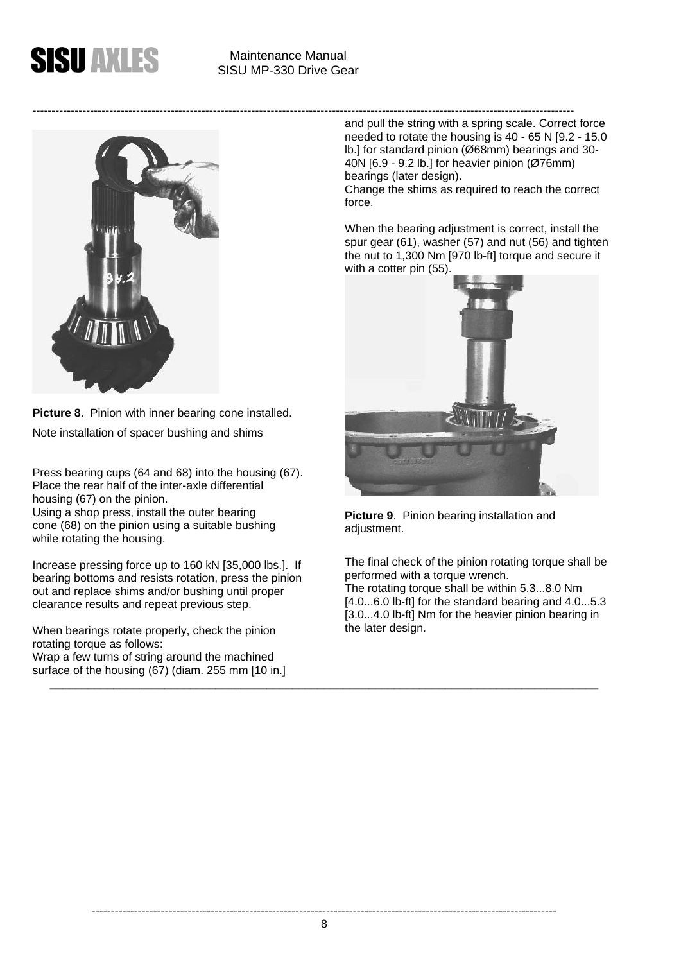



**Picture 8**. Pinion with inner bearing cone installed. Note installation of spacer bushing and shims

Press bearing cups (64 and 68) into the housing (67). Place the rear half of the inter-axle differential housing (67) on the pinion. Using a shop press, install the outer bearing cone (68) on the pinion using a suitable bushing while rotating the housing.

Increase pressing force up to 160 kN [35,000 lbs.]. If bearing bottoms and resists rotation, press the pinion out and replace shims and/or bushing until proper clearance results and repeat previous step.

When bearings rotate properly, check the pinion rotating torque as follows: Wrap a few turns of string around the machined surface of the housing (67) (diam. 255 mm [10 in.] and pull the string with a spring scale. Correct force needed to rotate the housing is 40 - 65 N [9.2 - 15.0 lb.] for standard pinion (Ø68mm) bearings and 30- 40N [6.9 - 9.2 lb.] for heavier pinion (Ø76mm) bearings (later design).

Change the shims as required to reach the correct force.

When the bearing adjustment is correct, install the spur gear (61), washer (57) and nut (56) and tighten the nut to 1,300 Nm [970 lb-ft] torque and secure it with a cotter pin (55).



**Picture 9**. Pinion bearing installation and adjustment.

The final check of the pinion rotating torque shall be performed with a torque wrench. The rotating torque shall be within 5.3...8.0 Nm [4.0...6.0 lb-ft] for the standard bearing and 4.0...5.3 [3.0...4.0 lb-ft] Nm for the heavier pinion bearing in the later design.

**\_\_\_\_\_\_\_\_\_\_\_\_\_\_\_\_\_\_\_\_\_\_\_\_\_\_\_\_\_\_\_\_\_\_\_\_\_\_\_\_\_\_\_\_\_\_\_\_\_\_\_\_\_\_\_\_\_\_\_\_\_\_\_\_\_\_\_\_\_\_\_\_\_\_\_\_\_\_\_\_\_\_\_\_\_\_**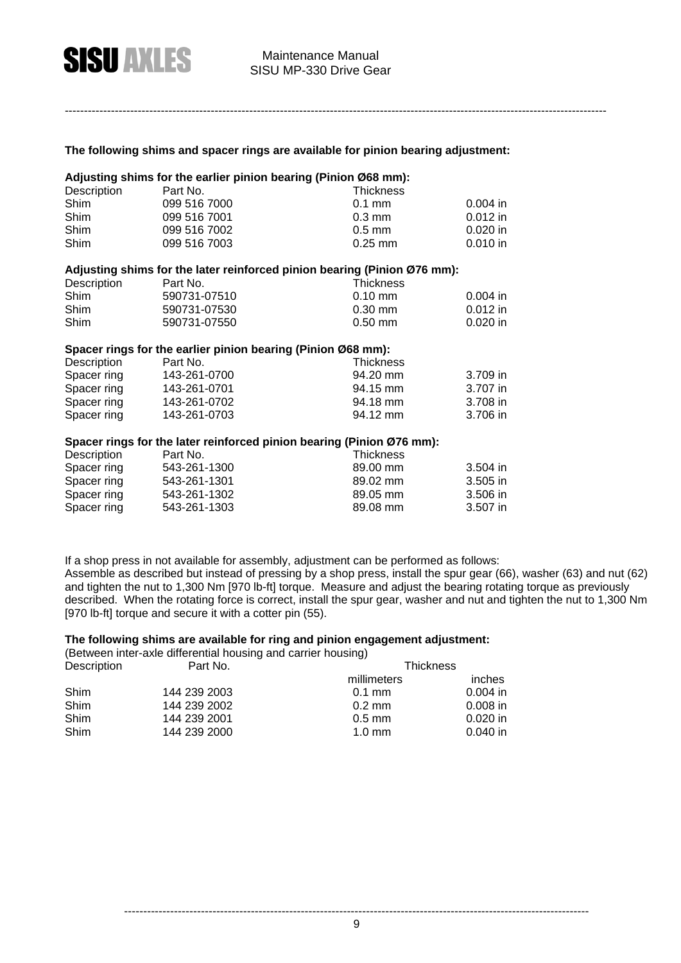#### **The following shims and spacer rings are available for pinion bearing adjustment:**

#### **Adjusting shims for the earlier pinion bearing (Pinion Ø68 mm):**

| Description | Part No.     | Thickness        |            |
|-------------|--------------|------------------|------------|
| Shim        | 099 516 7000 | $0.1$ mm         | $0.004$ in |
| Shim        | 099 516 7001 | $0.3 \text{ mm}$ | $0.012$ in |
| Shim        | 099 516 7002 | $0.5$ mm         | $0.020$ in |
| Shim        | 099 516 7003 | $0.25$ mm        | $0.010$ in |

#### **Adjusting shims for the later reinforced pinion bearing (Pinion Ø76 mm):**

| Description | Part No.     | Thickness             |            |
|-------------|--------------|-----------------------|------------|
| Shim        | 590731-07510 | $0.10 \text{ mm}$     | $0.004$ in |
| Shim        | 590731-07530 | $0.30 \; \text{mm}$   | $0.012$ in |
| Shim        | 590731-07550 | $0.50 \; \mathrm{mm}$ | $0.020$ in |

#### **Spacer rings for the earlier pinion bearing (Pinion Ø68 mm):**

| Description | Part No.     | Thickness |          |
|-------------|--------------|-----------|----------|
| Spacer ring | 143-261-0700 | 94.20 mm  | 3.709 in |
| Spacer ring | 143-261-0701 | 94.15 mm  | 3.707 in |
| Spacer ring | 143-261-0702 | 94.18 mm  | 3.708 in |
| Spacer ring | 143-261-0703 | 94.12 mm  | 3.706 in |

#### **Spacer rings for the later reinforced pinion bearing (Pinion Ø76 mm):**

| Description | Part No.     | <b>Thickness</b> |          |
|-------------|--------------|------------------|----------|
| Spacer ring | 543-261-1300 | 89.00 mm         | 3.504 in |
| Spacer ring | 543-261-1301 | 89.02 mm         | 3.505 in |
| Spacer ring | 543-261-1302 | 89.05 mm         | 3.506 in |
| Spacer ring | 543-261-1303 | 89.08 mm         | 3.507 in |

If a shop press in not available for assembly, adjustment can be performed as follows:

Assemble as described but instead of pressing by a shop press, install the spur gear (66), washer (63) and nut (62) and tighten the nut to 1,300 Nm [970 lb-ft] torque. Measure and adjust the bearing rotating torque as previously described. When the rotating force is correct, install the spur gear, washer and nut and tighten the nut to 1,300 Nm [970 lb-ft] torque and secure it with a cotter pin (55).

#### **The following shims are available for ring and pinion engagement adjustment:**

(Between inter-axle differential housing and carrier housing)

| Description | Part No.     | <b>Thickness</b> |               |
|-------------|--------------|------------------|---------------|
|             |              | millimeters      | <i>inches</i> |
| Shim        | 144 239 2003 | $0.1$ mm         | $0.004$ in    |
| Shim        | 144 239 2002 | $0.2 \text{ mm}$ | $0.008$ in    |
| Shim        | 144 239 2001 | $0.5$ mm         | $0.020$ in    |
| Shim        | 144 239 2000 | $1.0 \text{ mm}$ | $0.040$ in    |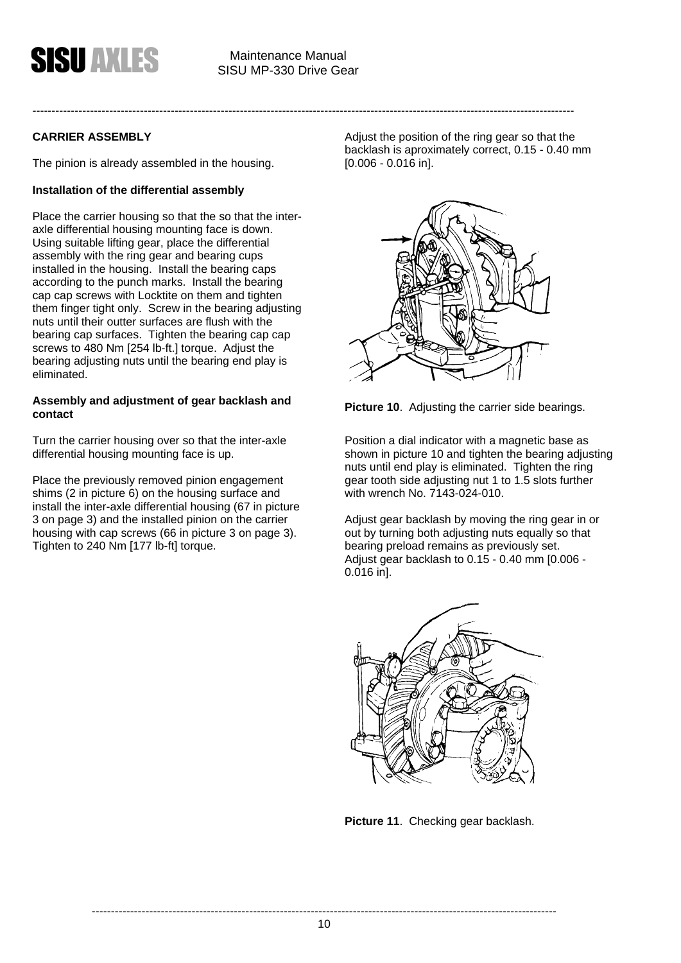#### **CARRIER ASSEMBLY**

The pinion is already assembled in the housing.

#### **Installation of the differential assembly**

Place the carrier housing so that the so that the interaxle differential housing mounting face is down. Using suitable lifting gear, place the differential assembly with the ring gear and bearing cups installed in the housing. Install the bearing caps according to the punch marks. Install the bearing cap cap screws with Locktite on them and tighten them finger tight only. Screw in the bearing adjusting nuts until their outter surfaces are flush with the bearing cap surfaces. Tighten the bearing cap cap screws to 480 Nm [254 lb-ft.] torque. Adjust the bearing adjusting nuts until the bearing end play is eliminated.

#### **Assembly and adjustment of gear backlash and contact**

Turn the carrier housing over so that the inter-axle differential housing mounting face is up.

Place the previously removed pinion engagement shims (2 in picture 6) on the housing surface and install the inter-axle differential housing (67 in picture 3 on page 3) and the installed pinion on the carrier housing with cap screws (66 in picture 3 on page 3). Tighten to 240 Nm [177 lb-ft] torque.

Adjust the position of the ring gear so that the backlash is aproximately correct, 0.15 - 0.40 mm [0.006 - 0.016 in].



**Picture 10**. Adjusting the carrier side bearings.

Position a dial indicator with a magnetic base as shown in picture 10 and tighten the bearing adjusting nuts until end play is eliminated. Tighten the ring gear tooth side adjusting nut 1 to 1.5 slots further with wrench No. 7143-024-010.

Adjust gear backlash by moving the ring gear in or out by turning both adjusting nuts equally so that bearing preload remains as previously set. Adjust gear backlash to 0.15 - 0.40 mm [0.006 - 0.016 in].



**Picture 11**. Checking gear backlash.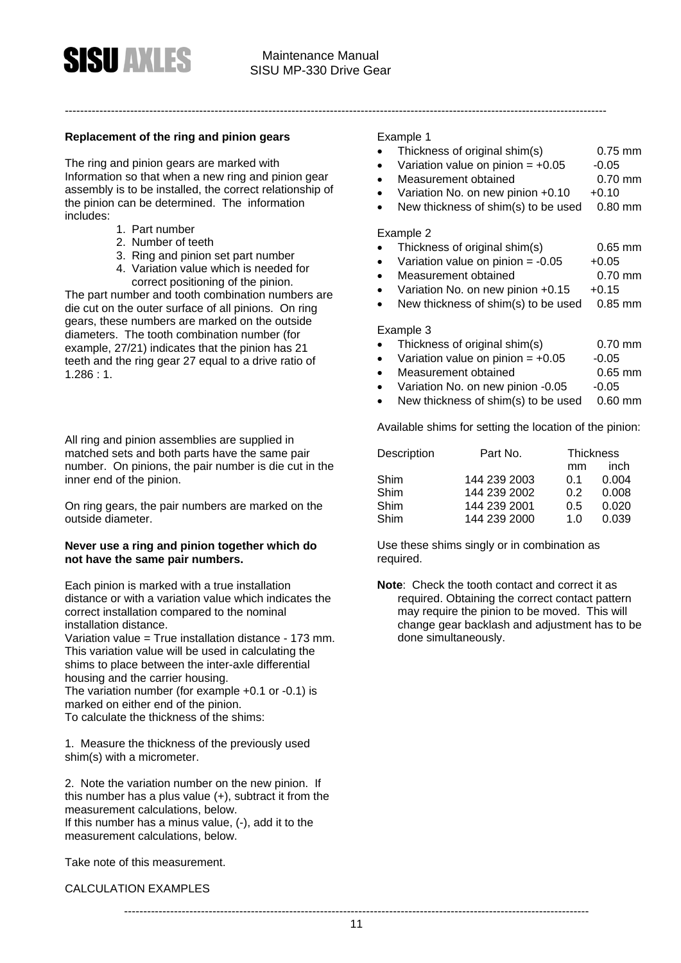#### **Replacement of the ring and pinion gears**

The ring and pinion gears are marked with Information so that when a new ring and pinion gear assembly is to be installed, the correct relationship of the pinion can be determined. The information includes:

- 1. Part number
- 2. Number of teeth
- 3. Ring and pinion set part number
- 4. Variation value which is needed for correct positioning of the pinion.

The part number and tooth combination numbers are die cut on the outer surface of all pinions. On ring gears, these numbers are marked on the outside diameters. The tooth combination number (for example, 27/21) indicates that the pinion has 21 teeth and the ring gear 27 equal to a drive ratio of 1.286 : 1.

All ring and pinion assemblies are supplied in matched sets and both parts have the same pair number. On pinions, the pair number is die cut in the inner end of the pinion.

On ring gears, the pair numbers are marked on the outside diameter.

#### **Never use a ring and pinion together which do not have the same pair numbers.**

Each pinion is marked with a true installation distance or with a variation value which indicates the correct installation compared to the nominal installation distance.

Variation value = True installation distance - 173 mm. This variation value will be used in calculating the shims to place between the inter-axle differential housing and the carrier housing. The variation number (for example +0.1 or -0.1) is marked on either end of the pinion.

To calculate the thickness of the shims:

1. Measure the thickness of the previously used shim(s) with a micrometer.

2. Note the variation number on the new pinion. If this number has a plus value (+), subtract it from the measurement calculations, below. If this number has a minus value, (-), add it to the measurement calculations, below.

Take note of this measurement.

#### CALCULATION EXAMPLES

#### Example 1

---------------------------------------------------------------------------------------------------------------------------------------------

- Thickness of original shim(s) 0.75 mm
- Variation value on pinion  $= +0.05 -0.05$
- Measurement obtained **6.70 mm**
- Variation No. on new pinion  $+0.10 +0.10$
- New thickness of shim(s) to be used 0.80 mm

#### Example 2

- Thickness of original shim(s) 0.65 mm
- Variation value on pinion =  $-0.05 +0.05$
- Measurement obtained 6.70 mm
- Variation No. on new pinion  $+0.15 +0.15$
- New thickness of shim(s) to be used 0.85 mm

Example 3

- Thickness of original shim(s) 0.70 mm
- Variation value on pinion  $= +0.05 -0.05$
- Measurement obtained **6.65 mm**
- Variation No. on new pinion -0.05 -0.05
- New thickness of shim(s) to be used 0.60 mm

Available shims for setting the location of the pinion:

| Description | Part No.     | <b>Thickness</b> |       |
|-------------|--------------|------------------|-------|
|             |              | mm               | inch  |
| Shim        | 144 239 2003 | 0 1              | 0.004 |
| Shim        | 144 239 2002 | 0.2              | 0.008 |
| Shim        | 144 239 2001 | 0.5              | 0.020 |
| Shim        | 144 239 2000 | 1 በ              | 0.039 |

Use these shims singly or in combination as required.

**Note**: Check the tooth contact and correct it as required. Obtaining the correct contact pattern may require the pinion to be moved. This will change gear backlash and adjustment has to be done simultaneously.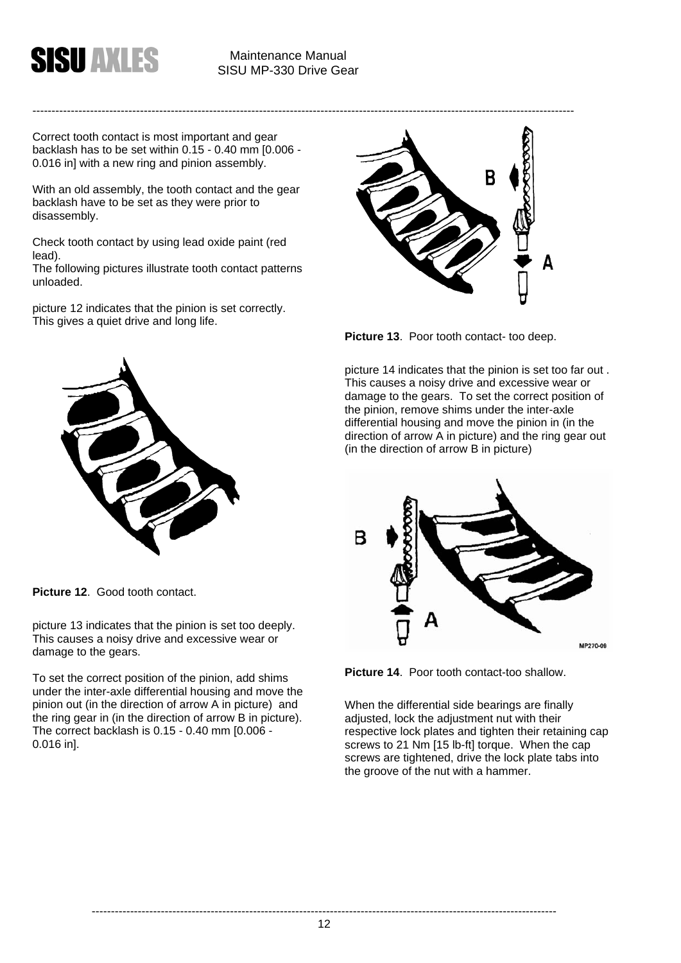

Correct tooth contact is most important and gear backlash has to be set within 0.15 - 0.40 mm [0.006 - 0.016 in] with a new ring and pinion assembly.

With an old assembly, the tooth contact and the gear backlash have to be set as they were prior to disassembly.

Check tooth contact by using lead oxide paint (red lead).

The following pictures illustrate tooth contact patterns unloaded.

picture 12 indicates that the pinion is set correctly. This gives a quiet drive and long life.



**Picture 12**. Good tooth contact.

picture 13 indicates that the pinion is set too deeply. This causes a noisy drive and excessive wear or damage to the gears.

To set the correct position of the pinion, add shims under the inter-axle differential housing and move the pinion out (in the direction of arrow A in picture) and the ring gear in (in the direction of arrow B in picture). The correct backlash is 0.15 - 0.40 mm [0.006 - 0.016 in].



**Picture 13**. Poor tooth contact- too deep.

picture 14 indicates that the pinion is set too far out . This causes a noisy drive and excessive wear or damage to the gears. To set the correct position of the pinion, remove shims under the inter-axle differential housing and move the pinion in (in the direction of arrow A in picture) and the ring gear out (in the direction of arrow B in picture)



**Picture 14**. Poor tooth contact-too shallow.

When the differential side bearings are finally adjusted, lock the adjustment nut with their respective lock plates and tighten their retaining cap screws to 21 Nm [15 lb-ft] torque. When the cap screws are tightened, drive the lock plate tabs into the groove of the nut with a hammer.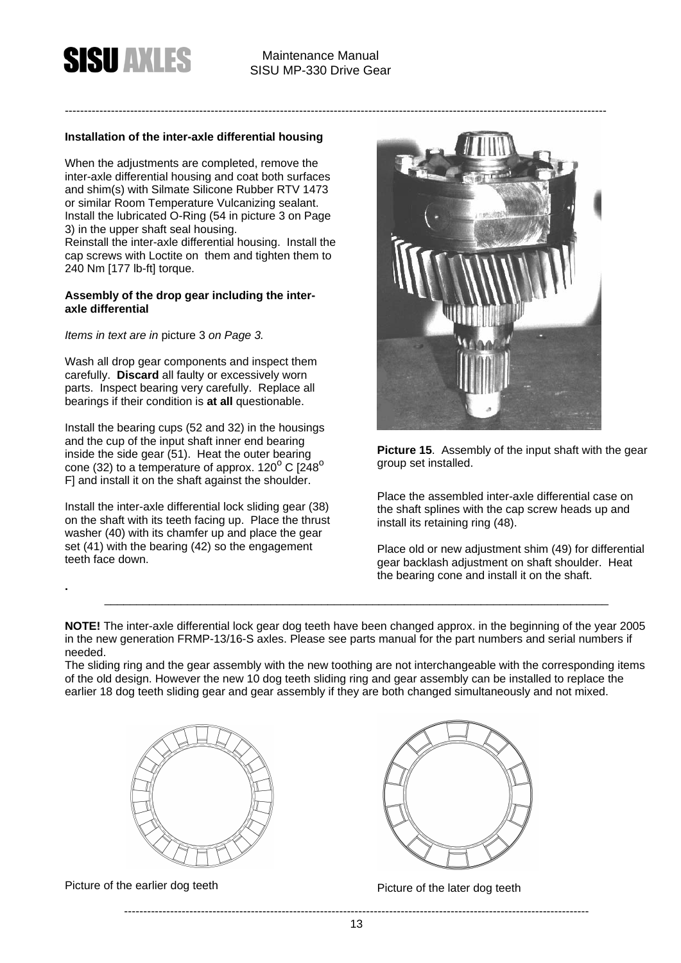#### **Installation of the inter-axle differential housing**

When the adjustments are completed, remove the inter-axle differential housing and coat both surfaces and shim(s) with Silmate Silicone Rubber RTV 1473 or similar Room Temperature Vulcanizing sealant. Install the lubricated O-Ring (54 in picture 3 on Page 3) in the upper shaft seal housing. Reinstall the inter-axle differential housing. Install the cap screws with Loctite on them and tighten them to 240 Nm [177 lb-ft] torque.

#### **Assembly of the drop gear including the interaxle differential**

*Items in text are in* picture 3 *on Page 3.* 

Wash all drop gear components and inspect them carefully. **Discard** all faulty or excessively worn parts. Inspect bearing very carefully. Replace all bearings if their condition is **at all** questionable.

Install the bearing cups (52 and 32) in the housings and the cup of the input shaft inner end bearing inside the side gear (51). Heat the outer bearing cone (32) to a temperature of approx.  $120^{\circ}$  C [248<sup>o</sup>) F] and install it on the shaft against the shoulder.

Install the inter-axle differential lock sliding gear (38) on the shaft with its teeth facing up. Place the thrust washer (40) with its chamfer up and place the gear set (41) with the bearing (42) so the engagement teeth face down.



**Picture 15**. Assembly of the input shaft with the gear group set installed.

Place the assembled inter-axle differential case on the shaft splines with the cap screw heads up and install its retaining ring (48).

Place old or new adjustment shim (49) for differential gear backlash adjustment on shaft shoulder. Heat the bearing cone and install it on the shaft.

**NOTE!** The inter-axle differential lock gear dog teeth have been changed approx. in the beginning of the year 2005 in the new generation FRMP-13/16-S axles. Please see parts manual for the part numbers and serial numbers if needed.

\_\_\_\_\_\_\_\_\_\_\_\_\_\_\_\_\_\_\_\_\_\_\_\_\_\_\_\_\_\_\_\_\_\_\_\_\_\_\_\_\_\_\_\_\_\_\_\_\_\_\_\_\_\_\_\_\_\_\_\_\_\_\_\_\_\_\_\_\_\_\_\_\_\_\_\_\_\_\_

The sliding ring and the gear assembly with the new toothing are not interchangeable with the corresponding items of the old design. However the new 10 dog teeth sliding ring and gear assembly can be installed to replace the earlier 18 dog teeth sliding gear and gear assembly if they are both changed simultaneously and not mixed.



Picture of the earlier dog teeth Picture of the later dog teeth

**.**

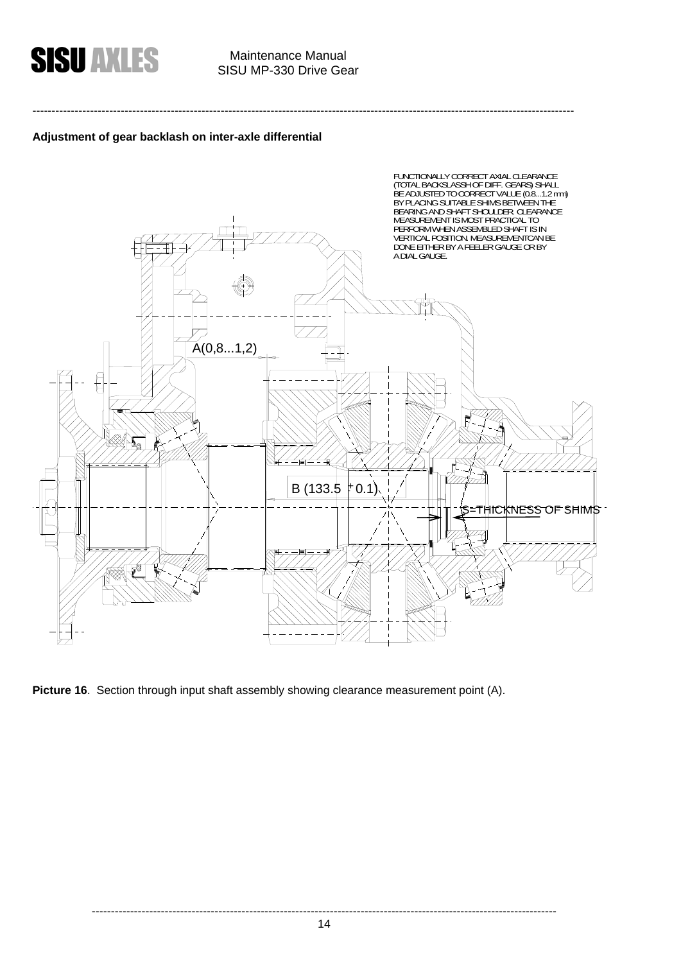

# SISU MP-330 Drive Gear

---------------------------------------------------------------------------------------------------------------------------------------------

#### **Adjustment of gear backlash on inter-axle differential**



Picture 16. Section through input shaft assembly showing clearance measurement point (A).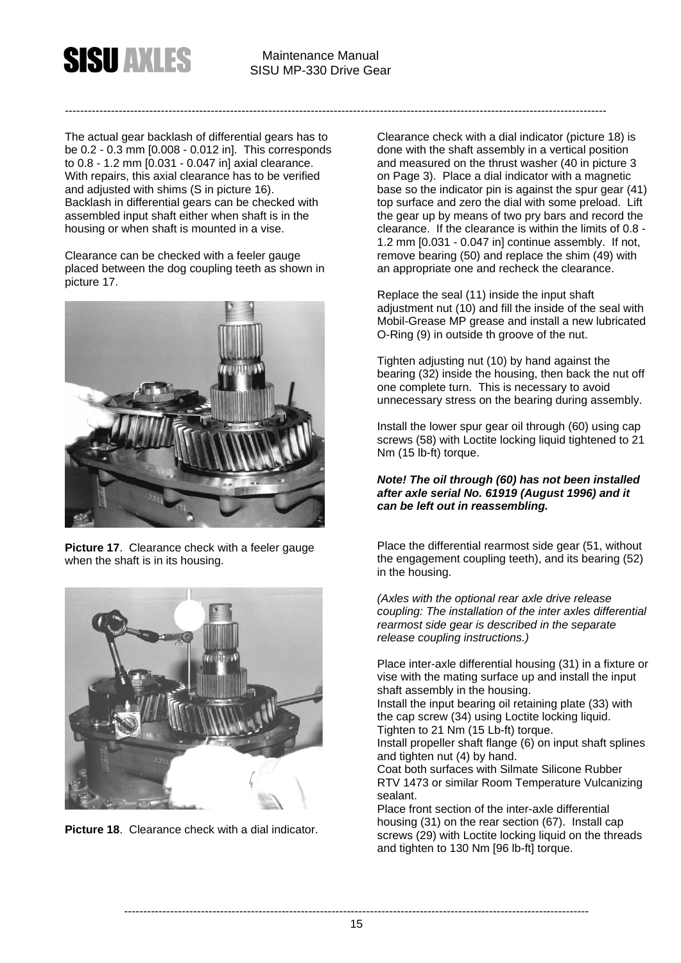The actual gear backlash of differential gears has to be 0.2 - 0.3 mm [0.008 - 0.012 in]. This corresponds to 0.8 - 1.2 mm [0.031 - 0.047 in] axial clearance. With repairs, this axial clearance has to be verified and adjusted with shims (S in picture 16). Backlash in differential gears can be checked with assembled input shaft either when shaft is in the housing or when shaft is mounted in a vise.

Clearance can be checked with a feeler gauge placed between the dog coupling teeth as shown in picture 17.



**Picture 17.** Clearance check with a feeler gauge when the shaft is in its housing.



**Picture 18**. Clearance check with a dial indicator.

Clearance check with a dial indicator (picture 18) is done with the shaft assembly in a vertical position and measured on the thrust washer (40 in picture 3 on Page 3). Place a dial indicator with a magnetic base so the indicator pin is against the spur gear (41) top surface and zero the dial with some preload. Lift the gear up by means of two pry bars and record the clearance. If the clearance is within the limits of 0.8 - 1.2 mm [0.031 - 0.047 in] continue assembly. If not, remove bearing (50) and replace the shim (49) with an appropriate one and recheck the clearance.

Replace the seal (11) inside the input shaft adjustment nut (10) and fill the inside of the seal with Mobil-Grease MP grease and install a new lubricated O-Ring (9) in outside th groove of the nut.

Tighten adjusting nut (10) by hand against the bearing (32) inside the housing, then back the nut off one complete turn. This is necessary to avoid unnecessary stress on the bearing during assembly.

Install the lower spur gear oil through (60) using cap screws (58) with Loctite locking liquid tightened to 21 Nm (15 lb-ft) torque.

#### *Note! The oil through (60) has not been installed after axle serial No. 61919 (August 1996) and it can be left out in reassembling.*

Place the differential rearmost side gear (51, without the engagement coupling teeth), and its bearing (52) in the housing.

*(Axles with the optional rear axle drive release coupling: The installation of the inter axles differential rearmost side gear is described in the separate release coupling instructions.)* 

Place inter-axle differential housing (31) in a fixture or vise with the mating surface up and install the input shaft assembly in the housing.

Install the input bearing oil retaining plate (33) with the cap screw (34) using Loctite locking liquid. Tighten to 21 Nm (15 Lb-ft) torque.

Install propeller shaft flange (6) on input shaft splines and tighten nut (4) by hand.

Coat both surfaces with Silmate Silicone Rubber RTV 1473 or similar Room Temperature Vulcanizing sealant.

Place front section of the inter-axle differential housing (31) on the rear section (67). Install cap screws (29) with Loctite locking liquid on the threads and tighten to 130 Nm [96 lb-ft] torque.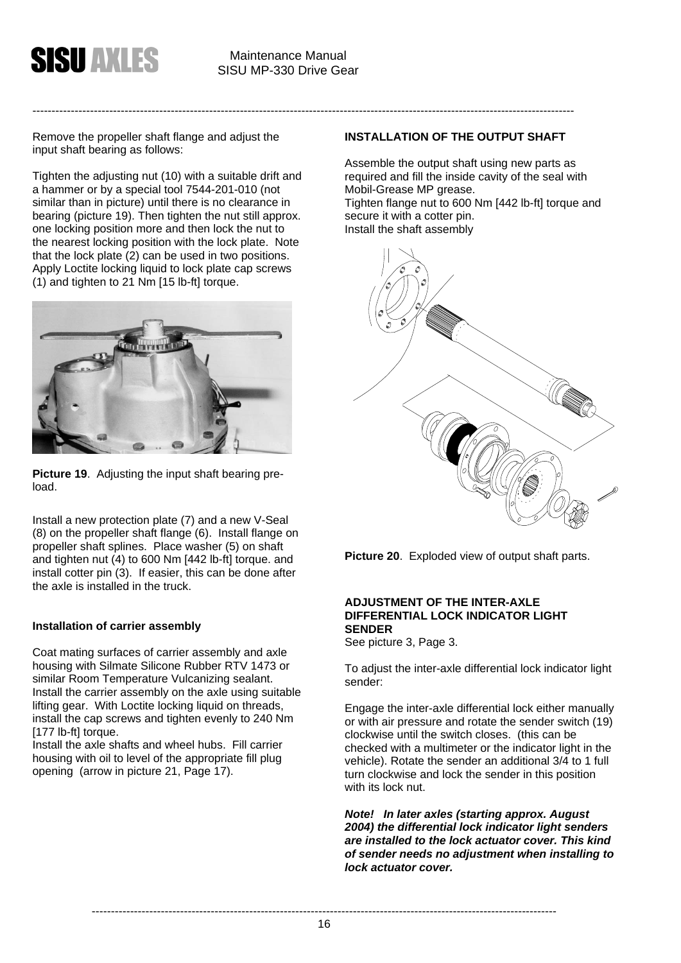

Remove the propeller shaft flange and adjust the input shaft bearing as follows:

Tighten the adjusting nut (10) with a suitable drift and a hammer or by a special tool 7544-201-010 (not similar than in picture) until there is no clearance in bearing (picture 19). Then tighten the nut still approx. one locking position more and then lock the nut to the nearest locking position with the lock plate. Note that the lock plate (2) can be used in two positions. Apply Loctite locking liquid to lock plate cap screws  $(1)$  and tighten to 21 Nm [15 lb-ft] torque.



**Picture 19**. Adjusting the input shaft bearing preload.

Install a new protection plate (7) and a new V-Seal (8) on the propeller shaft flange (6). Install flange on propeller shaft splines. Place washer (5) on shaft and tighten nut (4) to 600 Nm [442 lb-ft] torque. and install cotter pin (3). If easier, this can be done after the axle is installed in the truck.

#### **Installation of carrier assembly**

Coat mating surfaces of carrier assembly and axle housing with Silmate Silicone Rubber RTV 1473 or similar Room Temperature Vulcanizing sealant. Install the carrier assembly on the axle using suitable lifting gear. With Loctite locking liquid on threads, install the cap screws and tighten evenly to 240 Nm [177 lb-ft] torque.

Install the axle shafts and wheel hubs. Fill carrier housing with oil to level of the appropriate fill plug opening (arrow in picture 21, Page 17).

#### **INSTALLATION OF THE OUTPUT SHAFT**

Assemble the output shaft using new parts as required and fill the inside cavity of the seal with Mobil-Grease MP grease. Tighten flange nut to 600 Nm [442 lb-ft] torque and secure it with a cotter pin. Install the shaft assembly



**Picture 20**. Exploded view of output shaft parts.

#### **ADJUSTMENT OF THE INTER-AXLE DIFFERENTIAL LOCK INDICATOR LIGHT SENDER**

See picture 3, Page 3.

To adjust the inter-axle differential lock indicator light sender:

Engage the inter-axle differential lock either manually or with air pressure and rotate the sender switch (19) clockwise until the switch closes. (this can be checked with a multimeter or the indicator light in the vehicle). Rotate the sender an additional 3/4 to 1 full turn clockwise and lock the sender in this position with its lock nut.

*Note! In later axles (starting approx. August 2004) the differential lock indicator light senders are installed to the lock actuator cover. This kind of sender needs no adjustment when installing to lock actuator cover.*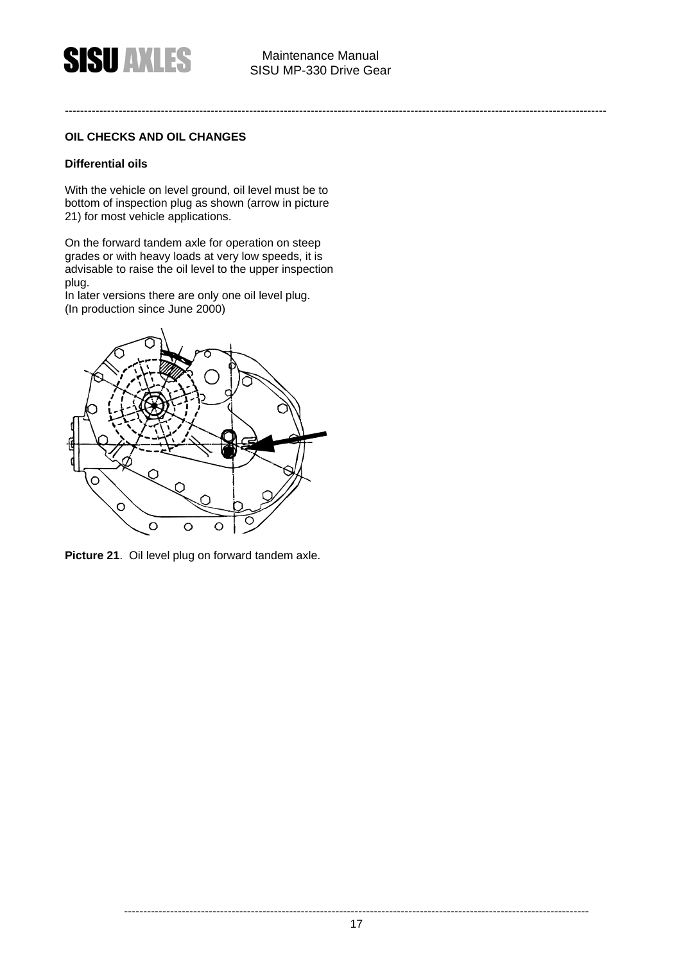#### **OIL CHECKS AND OIL CHANGES**

#### **Differential oils**

With the vehicle on level ground, oil level must be to bottom of inspection plug as shown (arrow in picture 21) for most vehicle applications.

On the forward tandem axle for operation on steep grades or with heavy loads at very low speeds, it is advisable to raise the oil level to the upper inspection plug.

In later versions there are only one oil level plug. (In production since June 2000)



**Picture 21**. Oil level plug on forward tandem axle.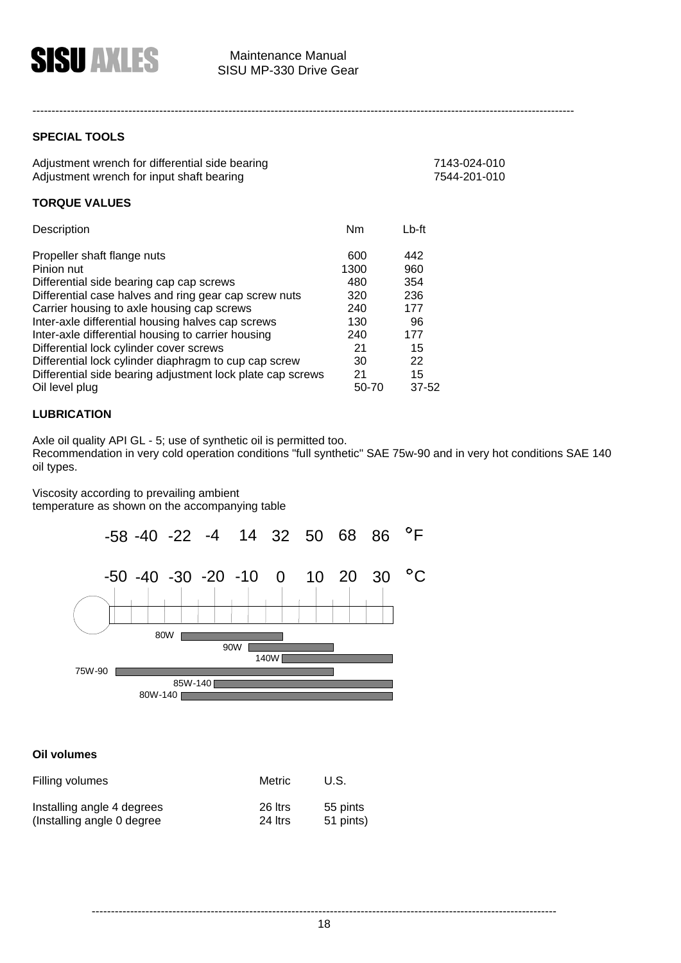

**SPECIAL TOOLS** 

| Adjustment wrench for differential side bearing | 7143-024-010 |
|-------------------------------------------------|--------------|
| Adjustment wrench for input shaft bearing       | 7544-201-010 |

#### **TORQUE VALUES**

| Description                                                | Nm    | $Lb$ -ft  |
|------------------------------------------------------------|-------|-----------|
| Propeller shaft flange nuts                                | 600   | 442       |
| Pinion nut                                                 | 1300  | 960       |
| Differential side bearing cap cap screws                   | 480   | 354       |
| Differential case halves and ring gear cap screw nuts      | 320   | 236       |
| Carrier housing to axle housing cap screws                 | 240   | 177       |
| Inter-axle differential housing halves cap screws          | 130   | 96        |
| Inter-axle differential housing to carrier housing         | 240   | 177       |
| Differential lock cylinder cover screws                    | 21    | 15        |
| Differential lock cylinder diaphragm to cup cap screw      | 30    | 22        |
| Differential side bearing adjustment lock plate cap screws | 21    | 15        |
| Oil level plug                                             | 50-70 | $37 - 52$ |

#### **LUBRICATION**

Axle oil quality API GL - 5; use of synthetic oil is permitted too.

Recommendation in very cold operation conditions "full synthetic" SAE 75w-90 and in very hot conditions SAE 140 oil types.

Viscosity according to prevailing ambient temperature as shown on the accompanying table



#### **Oil volumes**

| Filling volumes             | Metric  | U.S.      |
|-----------------------------|---------|-----------|
| Installing angle 4 degrees  | 26 ltrs | 55 pints  |
| (Installing angle 0 degree) | 24 Itrs | 51 pints) |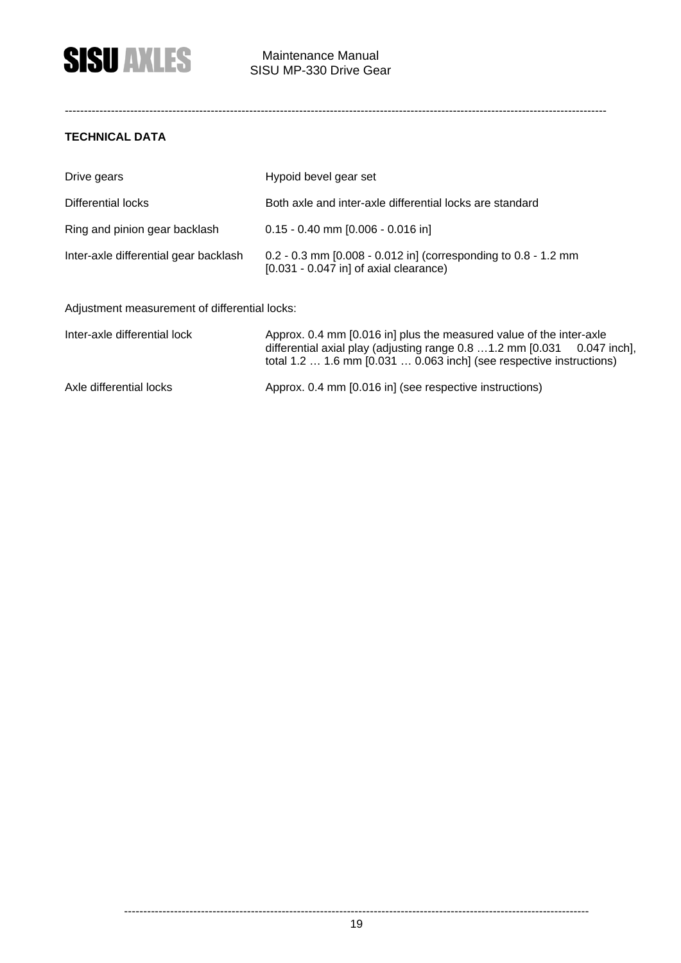#### **TECHNICAL DATA**

| Drive gears                           | Hypoid bevel gear set                                                                                      |
|---------------------------------------|------------------------------------------------------------------------------------------------------------|
| Differential locks                    | Both axle and inter-axle differential locks are standard                                                   |
| Ring and pinion gear backlash         | $0.15 - 0.40$ mm [0.006 - 0.016 in]                                                                        |
| Inter-axle differential gear backlash | 0.2 - 0.3 mm [0.008 - 0.012 in] (corresponding to 0.8 - 1.2 mm<br>$[0.031 - 0.047]$ in of axial clearance) |

#### Adjustment measurement of differential locks:

| Inter-axle differential lock | Approx. 0.4 mm [0.016 in] plus the measured value of the inter-axle<br>differential axial play (adjusting range 0.8  1.2 mm [0.031 0.047 inch],<br>total $1.2 \ldots 1.6$ mm $[0.031 \ldots 0.063$ inch] (see respective instructions) |
|------------------------------|----------------------------------------------------------------------------------------------------------------------------------------------------------------------------------------------------------------------------------------|
| Axle differential locks      | Approx. 0.4 mm [0.016 in] (see respective instructions)                                                                                                                                                                                |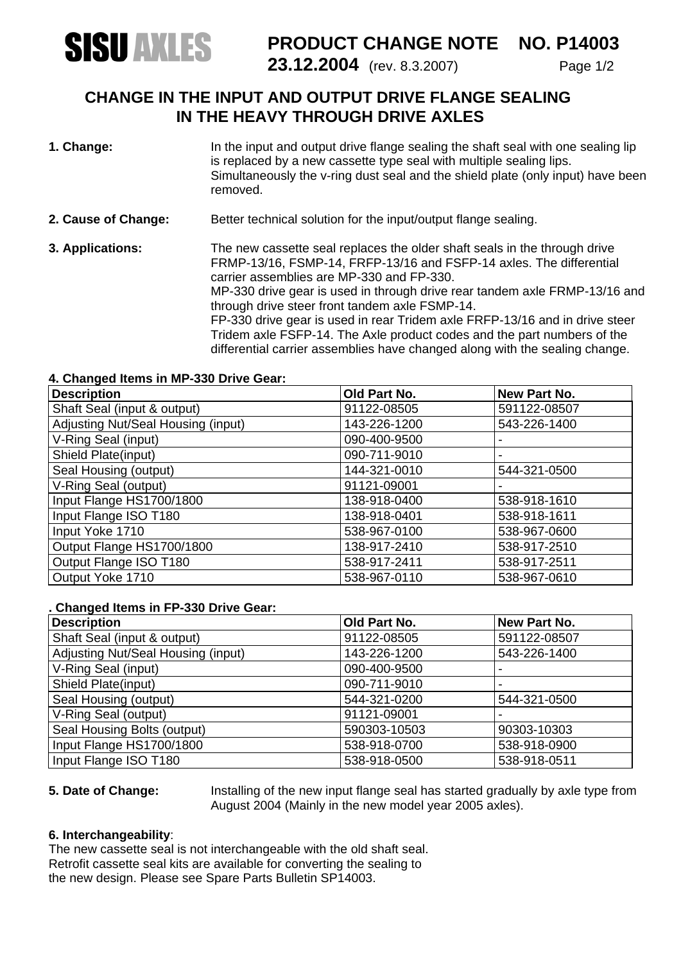

## **PRODUCT CHANGE NOTE NO. P14003 SISU ANLES** PRODUCT CHANGE NOTE NO. P14003

### **CHANGE IN THE INPUT AND OUTPUT DRIVE FLANGE SEALING IN THE HEAVY THROUGH DRIVE AXLES**

- **1. Change:** In the input and output drive flange sealing the shaft seal with one sealing lip is replaced by a new cassette type seal with multiple sealing lips. Simultaneously the v-ring dust seal and the shield plate (only input) have been removed.
- **2. Cause of Change:** Better technical solution for the input/output flange sealing.
- **3. Applications:** The new cassette seal replaces the older shaft seals in the through drive FRMP-13/16, FSMP-14, FRFP-13/16 and FSFP-14 axles. The differential carrier assemblies are MP-330 and FP-330. MP-330 drive gear is used in through drive rear tandem axle FRMP-13/16 and through drive steer front tandem axle FSMP-14. FP-330 drive gear is used in rear Tridem axle FRFP-13/16 and in drive steer Tridem axle FSFP-14. The Axle product codes and the part numbers of the differential carrier assemblies have changed along with the sealing change.

#### **4. Changed Items in MP-330 Drive Gear:**

| <b>Description</b>                 | Old Part No. | New Part No. |
|------------------------------------|--------------|--------------|
| Shaft Seal (input & output)        | 91122-08505  | 591122-08507 |
| Adjusting Nut/Seal Housing (input) | 143-226-1200 | 543-226-1400 |
| V-Ring Seal (input)                | 090-400-9500 |              |
| Shield Plate(input)                | 090-711-9010 |              |
| Seal Housing (output)              | 144-321-0010 | 544-321-0500 |
| V-Ring Seal (output)               | 91121-09001  |              |
| Input Flange HS1700/1800           | 138-918-0400 | 538-918-1610 |
| Input Flange ISO T180              | 138-918-0401 | 538-918-1611 |
| Input Yoke 1710                    | 538-967-0100 | 538-967-0600 |
| Output Flange HS1700/1800          | 138-917-2410 | 538-917-2510 |
| Output Flange ISO T180             | 538-917-2411 | 538-917-2511 |
| Output Yoke 1710                   | 538-967-0110 | 538-967-0610 |

#### **. Changed Items in FP-330 Drive Gear:**

| <b>Description</b>                 | Old Part No. | <b>New Part No.</b> |
|------------------------------------|--------------|---------------------|
| Shaft Seal (input & output)        | 91122-08505  | 591122-08507        |
| Adjusting Nut/Seal Housing (input) | 143-226-1200 | 543-226-1400        |
| V-Ring Seal (input)                | 090-400-9500 |                     |
| Shield Plate(input)                | 090-711-9010 | $\,$                |
| Seal Housing (output)              | 544-321-0200 | 544-321-0500        |
| V-Ring Seal (output)               | 91121-09001  |                     |
| Seal Housing Bolts (output)        | 590303-10503 | 90303-10303         |
| Input Flange HS1700/1800           | 538-918-0700 | 538-918-0900        |
| Input Flange ISO T180              | 538-918-0500 | 538-918-0511        |

**5. Date of Change:** Installing of the new input flange seal has started gradually by axle type from August 2004 (Mainly in the new model year 2005 axles).

#### **6. Interchangeability**:

The new cassette seal is not interchangeable with the old shaft seal. Retrofit cassette seal kits are available for converting the sealing to the new design. Please see Spare Parts Bulletin SP14003.